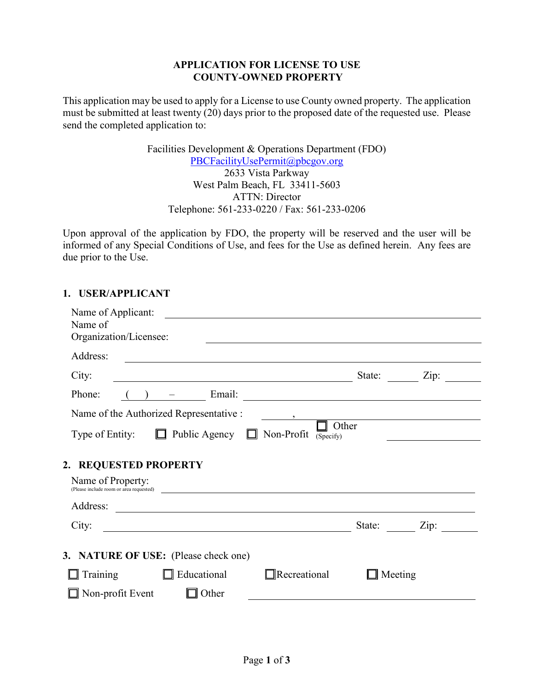### **APPLICATION FOR LICENSE TO USE COUNTY-OWNED PROPERTY**

This application may be used to apply for a License to use County owned property. The application must be submitted at least twenty (20) days prior to the proposed date of the requested use. Please send the completed application to:

> Facilities Development & Operations Department (FDO) [PBCFacilityUsePermit@pbcgov.org](mailto:PBCFacilityUsePermit@pbcgov.org) 2633 Vista Parkway West Palm Beach, FL 33411-5603 ATTN: Director Telephone: 561-233-0220 / Fax: 561-233-0206

Upon approval of the application by FDO, the property will be reserved and the user will be informed of any Special Conditions of Use, and fees for the Use as defined herein. Any fees are due prior to the Use.

# **1. USER/APPLICANT**

| Name of Applicant:<br><u> 1989 - John Stein, Amerikaansk politiker († 1908)</u><br>Name of<br>Organization/Licensee:                                                                                                                                                              | <u> 1989 - Johann Barbara, marka a shekara tsa 1989 - An tsa 1989 - An tsa 1989 - An tsa 1989 - An tsa 1989 - An</u> |
|-----------------------------------------------------------------------------------------------------------------------------------------------------------------------------------------------------------------------------------------------------------------------------------|----------------------------------------------------------------------------------------------------------------------|
| Address:                                                                                                                                                                                                                                                                          |                                                                                                                      |
| City:<br><u> 1989 - Johann Barn, mars ann an t-Amhain Aonaich an t-Aonaich an t-Aonaich ann an t-Aonaich ann an t-Aonaich</u>                                                                                                                                                     | State: Zip:                                                                                                          |
| Phone:<br>$\begin{pmatrix} 1 & 1 \\ 1 & 1 \end{pmatrix}$                                                                                                                                                                                                                          |                                                                                                                      |
| Name of the Authorized Representative :<br>$\frac{1}{2}$                                                                                                                                                                                                                          |                                                                                                                      |
| Type of Entity: $\Box$ Public Agency $\Box$ Non-Profit                                                                                                                                                                                                                            | Other<br>(Specify)                                                                                                   |
| 2. REQUESTED PROPERTY<br>Name of Property:<br>(Please include room or area requested) <b>contained</b> and the set of the set of the set of the set of the set of the set of the set of the set of the set of the set of the set of the set of the set of the set of the set of t |                                                                                                                      |
|                                                                                                                                                                                                                                                                                   |                                                                                                                      |
| City:                                                                                                                                                                                                                                                                             | State: Zip:                                                                                                          |
| 3. NATURE OF USE: (Please check one)<br>Training<br>$\Box$ Educational<br>$\Box$ Recreational<br>Non-profit Event<br>Other                                                                                                                                                        | $\Box$ Meeting                                                                                                       |
|                                                                                                                                                                                                                                                                                   |                                                                                                                      |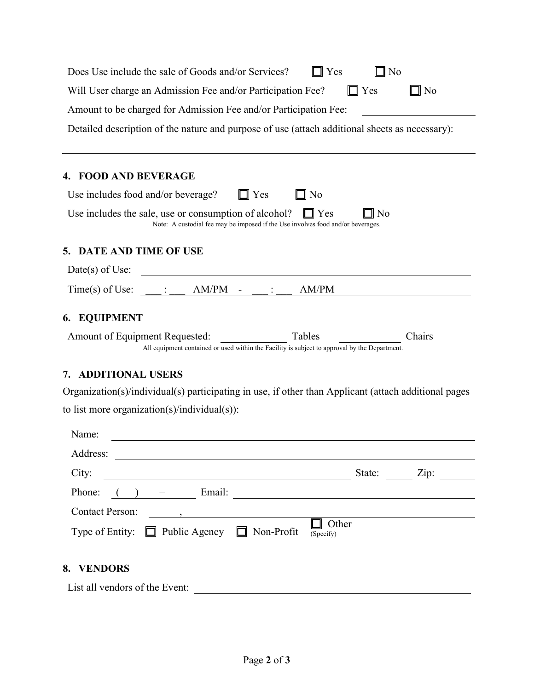| Does Use include the sale of Goods and/or Services?<br>$\Box$ Yes<br>No                                                                                                                                                                                             |  |  |  |  |  |  |
|---------------------------------------------------------------------------------------------------------------------------------------------------------------------------------------------------------------------------------------------------------------------|--|--|--|--|--|--|
| Will User charge an Admission Fee and/or Participation Fee?<br>$\Box$ No<br>$\Box$ Yes                                                                                                                                                                              |  |  |  |  |  |  |
| Amount to be charged for Admission Fee and/or Participation Fee:                                                                                                                                                                                                    |  |  |  |  |  |  |
| Detailed description of the nature and purpose of use (attach additional sheets as necessary):                                                                                                                                                                      |  |  |  |  |  |  |
| 4. FOOD AND BEVERAGE                                                                                                                                                                                                                                                |  |  |  |  |  |  |
| Use includes food and/or beverage?<br>$\Box$ Yes<br>$\square$ No                                                                                                                                                                                                    |  |  |  |  |  |  |
| Use includes the sale, use or consumption of alcohol?<br>∥ Yes<br>N <sub>0</sub><br>Note: A custodial fee may be imposed if the Use involves food and/or beverages.                                                                                                 |  |  |  |  |  |  |
| 5. DATE AND TIME OF USE                                                                                                                                                                                                                                             |  |  |  |  |  |  |
| Date(s) of Use:                                                                                                                                                                                                                                                     |  |  |  |  |  |  |
| AM/PM<br>$Time(s)$ of Use:<br>AM/PM                                                                                                                                                                                                                                 |  |  |  |  |  |  |
| <b>6. EQUIPMENT</b>                                                                                                                                                                                                                                                 |  |  |  |  |  |  |
| Tables<br>Chairs<br>Amount of Equipment Requested:<br>All equipment contained or used within the Facility is subject to approval by the Department.                                                                                                                 |  |  |  |  |  |  |
| <b>ADDITIONAL USERS</b><br>7.                                                                                                                                                                                                                                       |  |  |  |  |  |  |
| Organization(s)/individual(s) participating in use, if other than Applicant (attach additional pages                                                                                                                                                                |  |  |  |  |  |  |
| to list more organization(s)/individual(s)):                                                                                                                                                                                                                        |  |  |  |  |  |  |
| Name:                                                                                                                                                                                                                                                               |  |  |  |  |  |  |
| Address:                                                                                                                                                                                                                                                            |  |  |  |  |  |  |
| City:<br>State: <u>Zip:</u><br><u> 1989 - Johann Stein, mars an de Brasilia (b. 1989)</u>                                                                                                                                                                           |  |  |  |  |  |  |
| Phone: $($ $)$ $ \qquad$ Email: $\qquad$                                                                                                                                                                                                                            |  |  |  |  |  |  |
| <b>Contact Person:</b><br>$\qquad \qquad \bullet$ , and a set of the set of the set of the set of the set of the set of the set of the set of the set of the set of the set of the set of the set of the set of the set of the set of the set of the set of the set |  |  |  |  |  |  |
| Other<br>Type of Entity: $\Box$ Public Agency $\Box$ Non-Profit<br>(Specify)                                                                                                                                                                                        |  |  |  |  |  |  |
| 8. VENDORS                                                                                                                                                                                                                                                          |  |  |  |  |  |  |
| List all vendors of the Event:                                                                                                                                                                                                                                      |  |  |  |  |  |  |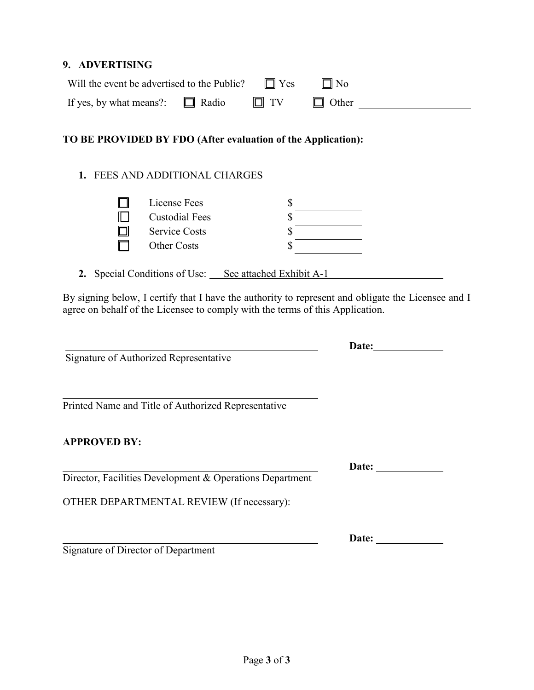#### **9. ADVERTISING**

| Will the event be advertised to the Public? $\square$ Yes |           | $\Box$ No    |  |
|-----------------------------------------------------------|-----------|--------------|--|
| If yes, by what means?: $\Box$ Radio                      | $\Box$ TV | $\Box$ Other |  |

# **TO BE PROVIDED BY FDO (After evaluation of the Application):**

# **1.** FEES AND ADDITIONAL CHARGES

| License Fees               |  |
|----------------------------|--|
| ╓<br><b>Custodial Fees</b> |  |
| <b>Service Costs</b><br>Г  |  |
| <b>Other Costs</b>         |  |

**2.** Special Conditions of Use: See attached Exhibit A-1

By signing below, I certify that I have the authority to represent and obligate the Licensee and I agree on behalf of the Licensee to comply with the terms of this Application.

Signature of Authorized Representative

Printed Name and Title of Authorized Representative

#### **APPROVED BY:**

Director, Facilities Development & Operations Department

OTHER DEPARTMENTAL REVIEW (If necessary):

Signature of Director of Department

**Date:**

**Date:**

**Date:**